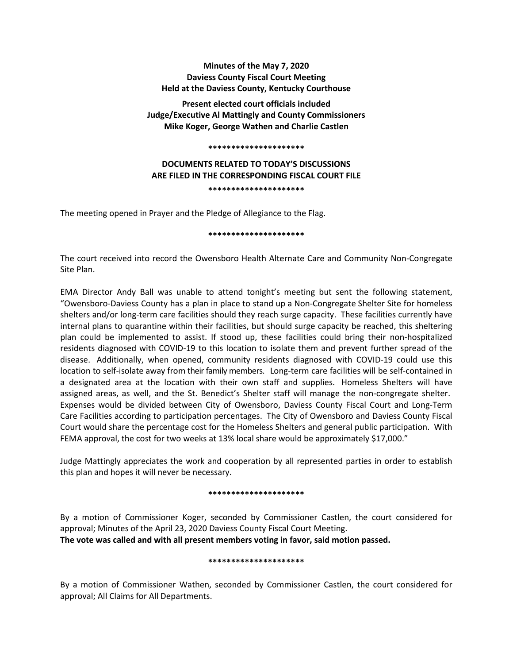**Minutes of the May 7, 2020 Daviess County Fiscal Court Meeting Held at the Daviess County, Kentucky Courthouse**

**Present elected court officials included Judge/Executive Al Mattingly and County Commissioners Mike Koger, George Wathen and Charlie Castlen**

#### **\*\*\*\*\*\*\*\*\*\*\*\*\*\*\*\*\*\*\*\*\***

# **DOCUMENTS RELATED TO TODAY'S DISCUSSIONS ARE FILED IN THE CORRESPONDING FISCAL COURT FILE \*\*\*\*\*\*\*\*\*\*\*\*\*\*\*\*\*\*\*\*\***

The meeting opened in Prayer and the Pledge of Allegiance to the Flag.

#### **\*\*\*\*\*\*\*\*\*\*\*\*\*\*\*\*\*\*\*\*\***

The court received into record the Owensboro Health Alternate Care and Community Non-Congregate Site Plan.

EMA Director Andy Ball was unable to attend tonight's meeting but sent the following statement, "Owensboro-Daviess County has a plan in place to stand up a Non-Congregate Shelter Site for homeless shelters and/or long-term care facilities should they reach surge capacity. These facilities currently have internal plans to quarantine within their facilities, but should surge capacity be reached, this sheltering plan could be implemented to assist. If stood up, these facilities could bring their non-hospitalized residents diagnosed with COVID-19 to this location to isolate them and prevent further spread of the disease. Additionally, when opened, community residents diagnosed with COVID-19 could use this location to self-isolate away from their family members. Long-term care facilities will be self-contained in a designated area at the location with their own staff and supplies. Homeless Shelters will have assigned areas, as well, and the St. Benedict's Shelter staff will manage the non-congregate shelter. Expenses would be divided between City of Owensboro, Daviess County Fiscal Court and Long-Term Care Facilities according to participation percentages. The City of Owensboro and Daviess County Fiscal Court would share the percentage cost for the Homeless Shelters and general public participation. With FEMA approval, the cost for two weeks at 13% local share would be approximately \$17,000."

Judge Mattingly appreciates the work and cooperation by all represented parties in order to establish this plan and hopes it will never be necessary.

#### **\*\*\*\*\*\*\*\*\*\*\*\*\*\*\*\*\*\*\*\*\***

By a motion of Commissioner Koger, seconded by Commissioner Castlen, the court considered for approval; Minutes of the April 23, 2020 Daviess County Fiscal Court Meeting. **The vote was called and with all present members voting in favor, said motion passed.** 

#### **\*\*\*\*\*\*\*\*\*\*\*\*\*\*\*\*\*\*\*\*\***

By a motion of Commissioner Wathen, seconded by Commissioner Castlen, the court considered for approval; All Claims for All Departments.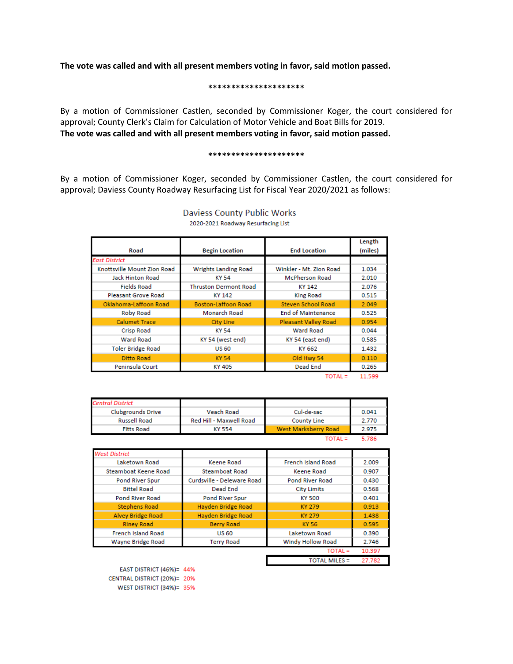**The vote was called and with all present members voting in favor, said motion passed.** 

#### **\*\*\*\*\*\*\*\*\*\*\*\*\*\*\*\*\*\*\*\*\***

By a motion of Commissioner Castlen, seconded by Commissioner Koger, the court considered for approval; County Clerk's Claim for Calculation of Motor Vehicle and Boat Bills for 2019. **The vote was called and with all present members voting in favor, said motion passed.** 

#### **\*\*\*\*\*\*\*\*\*\*\*\*\*\*\*\*\*\*\*\*\***

By a motion of Commissioner Koger, seconded by Commissioner Castlen, the court considered for approval; Daviess County Roadway Resurfacing List for Fiscal Year 2020/2021 as follows:

| Road                        | <b>Begin Location</b>        | <b>End Location</b>         | Length<br>(miles) |
|-----------------------------|------------------------------|-----------------------------|-------------------|
| East District               |                              |                             |                   |
| Knottsville Mount Zion Road | <b>Wrights Landing Road</b>  | Winkler - Mt. Zion Road     | 1.034             |
| <b>Jack Hinton Road</b>     | KY 54                        | <b>McPherson Road</b>       | 2.010             |
| <b>Fields Road</b>          | <b>Thruston Dermont Road</b> | KY 142                      | 2.076             |
| <b>Pleasant Grove Road</b>  | KY 142                       | <b>King Road</b>            | 0.515             |
| Oklahoma-Laffoon Road       | <b>Boston-Laffoon Road</b>   | <b>Steven School Road</b>   | 2.049             |
| Roby Road                   | Monarch Road                 | <b>End of Maintenance</b>   | 0.525             |
| <b>Calumet Trace</b>        | City Line                    | <b>Pleasant Valley Road</b> | 0.954             |
| <b>Crisp Road</b>           | KY 54                        | <b>Ward Road</b>            | 0.044             |
| <b>Ward Road</b>            | KY 54 (west end)             | KY 54 (east end)            | 0.585             |
| <b>Toler Bridge Road</b>    | <b>US 60</b>                 | KY 662                      | 1.432             |
| Ditto Road                  | <b>KY 54</b>                 | Old Hwy 54                  | 0.110             |
| Peninsula Court             | KY 405                       | Dead End                    | 0.265             |

### **Daviess County Public Works** 2020-2021 Roadway Resurfacing List

 $TOTAL = 11.599$ 

| <b>Central District</b>  |                         |                      |       |
|--------------------------|-------------------------|----------------------|-------|
| <b>Clubgrounds Drive</b> | <b>Veach Road</b>       | Cul-de-sac           | 0.041 |
| <b>Russell Road</b>      | Red Hill - Maxwell Road | <b>County Line</b>   | 2.770 |
| <b>Fitts Road</b>        | KY 554                  | West Marksberry Road | 2.975 |
|                          |                         | ΓΟΤΑΙ =              | 5 786 |

| <b>West District</b>      |                            |                           |        |
|---------------------------|----------------------------|---------------------------|--------|
| Laketown Road             | Keene Road                 | <b>French Island Road</b> | 2.009  |
| Steamboat Keene Road      | <b>Steamboat Road</b>      | <b>Keene Road</b>         | 0.907  |
| Pond River Spur           | Curdsville - Deleware Road | <b>Pond River Road</b>    | 0.430  |
| <b>Bittel Road</b>        | Dead End                   | <b>City Limits</b>        | 0.568  |
| <b>Pond River Road</b>    | Pond River Spur            | <b>KY 500</b>             | 0.401  |
| <b>Stephens Road</b>      | Hayden Bridge Road         | KY 279                    | 0.913  |
| <b>Alvey Bridge Road</b>  | Hayden Bridge Road         | KY 279                    | 1.438  |
| <b>Riney Road</b>         | <b>Berry Road</b>          | KY 56                     | 0.595  |
| <b>French Island Road</b> | <b>US 60</b>               | Laketown Road             | 0.390  |
| Wayne Bridge Road         | <b>Terry Road</b>          | <b>Windy Hollow Road</b>  | 2.746  |
|                           |                            | TOTAL =                   | 10.397 |
|                           |                            | <b>TOTAL MILES =</b>      | 27.782 |

EAST DISTRICT (46%)= 44% CENTRAL DISTRICT (20%)= 20% WEST DISTRICT (34%)= 35%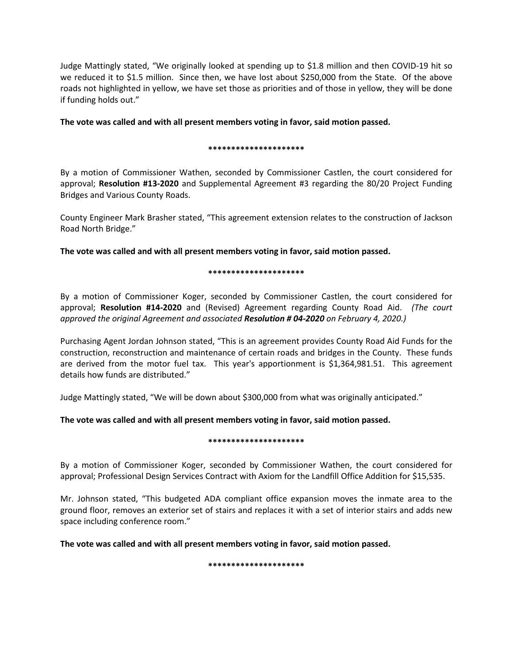Judge Mattingly stated, "We originally looked at spending up to \$1.8 million and then COVID-19 hit so we reduced it to \$1.5 million. Since then, we have lost about \$250,000 from the State. Of the above roads not highlighted in yellow, we have set those as priorities and of those in yellow, they will be done if funding holds out."

**The vote was called and with all present members voting in favor, said motion passed.** 

# **\*\*\*\*\*\*\*\*\*\*\*\*\*\*\*\*\*\*\*\*\***

By a motion of Commissioner Wathen, seconded by Commissioner Castlen, the court considered for approval; **Resolution #13-2020** and Supplemental Agreement #3 regarding the 80/20 Project Funding Bridges and Various County Roads.

County Engineer Mark Brasher stated, "This agreement extension relates to the construction of Jackson Road North Bridge."

**The vote was called and with all present members voting in favor, said motion passed.** 

## **\*\*\*\*\*\*\*\*\*\*\*\*\*\*\*\*\*\*\*\*\***

By a motion of Commissioner Koger, seconded by Commissioner Castlen, the court considered for approval; **Resolution #14-2020** and (Revised) Agreement regarding County Road Aid. *(The court approved the original Agreement and associated Resolution # 04-2020 on February 4, 2020.)*

Purchasing Agent Jordan Johnson stated, "This is an agreement provides County Road Aid Funds for the construction, reconstruction and maintenance of certain roads and bridges in the County. These funds are derived from the motor fuel tax. This year's apportionment is \$1,364,981.51. This agreement details how funds are distributed."

Judge Mattingly stated, "We will be down about \$300,000 from what was originally anticipated."

**The vote was called and with all present members voting in favor, said motion passed.** 

# **\*\*\*\*\*\*\*\*\*\*\*\*\*\*\*\*\*\*\*\*\***

By a motion of Commissioner Koger, seconded by Commissioner Wathen, the court considered for approval; Professional Design Services Contract with Axiom for the Landfill Office Addition for \$15,535.

Mr. Johnson stated, "This budgeted ADA compliant office expansion moves the inmate area to the ground floor, removes an exterior set of stairs and replaces it with a set of interior stairs and adds new space including conference room."

**The vote was called and with all present members voting in favor, said motion passed.** 

**\*\*\*\*\*\*\*\*\*\*\*\*\*\*\*\*\*\*\*\*\***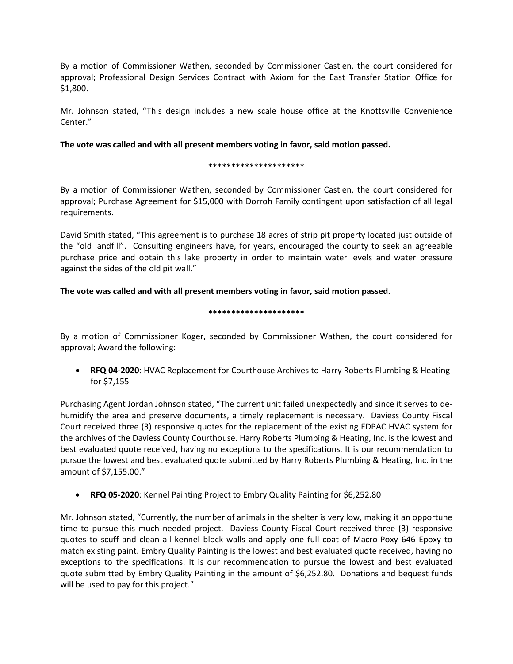By a motion of Commissioner Wathen, seconded by Commissioner Castlen, the court considered for approval; Professional Design Services Contract with Axiom for the East Transfer Station Office for \$1,800.

Mr. Johnson stated, "This design includes a new scale house office at the Knottsville Convenience Center."

# **The vote was called and with all present members voting in favor, said motion passed.**

## **\*\*\*\*\*\*\*\*\*\*\*\*\*\*\*\*\*\*\*\*\***

By a motion of Commissioner Wathen, seconded by Commissioner Castlen, the court considered for approval; Purchase Agreement for \$15,000 with Dorroh Family contingent upon satisfaction of all legal requirements.

David Smith stated, "This agreement is to purchase 18 acres of strip pit property located just outside of the "old landfill". Consulting engineers have, for years, encouraged the county to seek an agreeable purchase price and obtain this lake property in order to maintain water levels and water pressure against the sides of the old pit wall."

# **The vote was called and with all present members voting in favor, said motion passed.**

## **\*\*\*\*\*\*\*\*\*\*\*\*\*\*\*\*\*\*\*\*\***

By a motion of Commissioner Koger, seconded by Commissioner Wathen, the court considered for approval; Award the following:

• **RFQ 04-2020**: HVAC Replacement for Courthouse Archives to Harry Roberts Plumbing & Heating for \$7,155

Purchasing Agent Jordan Johnson stated, "The current unit failed unexpectedly and since it serves to dehumidify the area and preserve documents, a timely replacement is necessary. Daviess County Fiscal Court received three (3) responsive quotes for the replacement of the existing EDPAC HVAC system for the archives of the Daviess County Courthouse. Harry Roberts Plumbing & Heating, Inc. is the lowest and best evaluated quote received, having no exceptions to the specifications. It is our recommendation to pursue the lowest and best evaluated quote submitted by Harry Roberts Plumbing & Heating, Inc. in the amount of \$7,155.00."

• **RFQ 05-2020**: Kennel Painting Project to Embry Quality Painting for \$6,252.80

Mr. Johnson stated, "Currently, the number of animals in the shelter is very low, making it an opportune time to pursue this much needed project. Daviess County Fiscal Court received three (3) responsive quotes to scuff and clean all kennel block walls and apply one full coat of Macro-Poxy 646 Epoxy to match existing paint. Embry Quality Painting is the lowest and best evaluated quote received, having no exceptions to the specifications. It is our recommendation to pursue the lowest and best evaluated quote submitted by Embry Quality Painting in the amount of \$6,252.80. Donations and bequest funds will be used to pay for this project."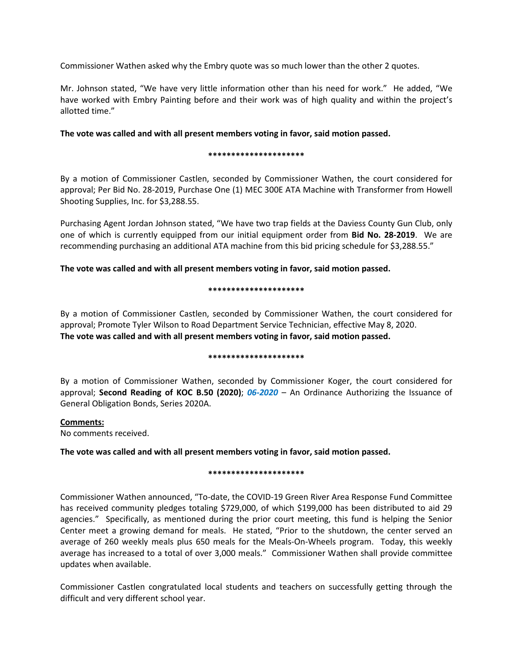Commissioner Wathen asked why the Embry quote was so much lower than the other 2 quotes.

Mr. Johnson stated, "We have very little information other than his need for work." He added, "We have worked with Embry Painting before and their work was of high quality and within the project's allotted time."

# **The vote was called and with all present members voting in favor, said motion passed.**

## **\*\*\*\*\*\*\*\*\*\*\*\*\*\*\*\*\*\*\*\*\***

By a motion of Commissioner Castlen, seconded by Commissioner Wathen, the court considered for approval; Per Bid No. 28-2019, Purchase One (1) MEC 300E ATA Machine with Transformer from Howell Shooting Supplies, Inc. for \$3,288.55.

Purchasing Agent Jordan Johnson stated, "We have two trap fields at the Daviess County Gun Club, only one of which is currently equipped from our initial equipment order from **Bid No. 28-2019**. We are recommending purchasing an additional ATA machine from this bid pricing schedule for \$3,288.55."

**The vote was called and with all present members voting in favor, said motion passed.** 

## **\*\*\*\*\*\*\*\*\*\*\*\*\*\*\*\*\*\*\*\*\***

By a motion of Commissioner Castlen, seconded by Commissioner Wathen, the court considered for approval; Promote Tyler Wilson to Road Department Service Technician, effective May 8, 2020. **The vote was called and with all present members voting in favor, said motion passed.** 

# **\*\*\*\*\*\*\*\*\*\*\*\*\*\*\*\*\*\*\*\*\***

By a motion of Commissioner Wathen, seconded by Commissioner Koger, the court considered for approval; **Second Reading of KOC B.50 (2020)**; *06-2020* – An Ordinance Authorizing the Issuance of General Obligation Bonds, Series 2020A.

# **Comments:**

No comments received.

**The vote was called and with all present members voting in favor, said motion passed.** 

#### **\*\*\*\*\*\*\*\*\*\*\*\*\*\*\*\*\*\*\*\*\***

Commissioner Wathen announced, "To-date, the COVID-19 Green River Area Response Fund Committee has received community pledges totaling \$729,000, of which \$199,000 has been distributed to aid 29 agencies." Specifically, as mentioned during the prior court meeting, this fund is helping the Senior Center meet a growing demand for meals. He stated, "Prior to the shutdown, the center served an average of 260 weekly meals plus 650 meals for the Meals-On-Wheels program. Today, this weekly average has increased to a total of over 3,000 meals." Commissioner Wathen shall provide committee updates when available.

Commissioner Castlen congratulated local students and teachers on successfully getting through the difficult and very different school year.